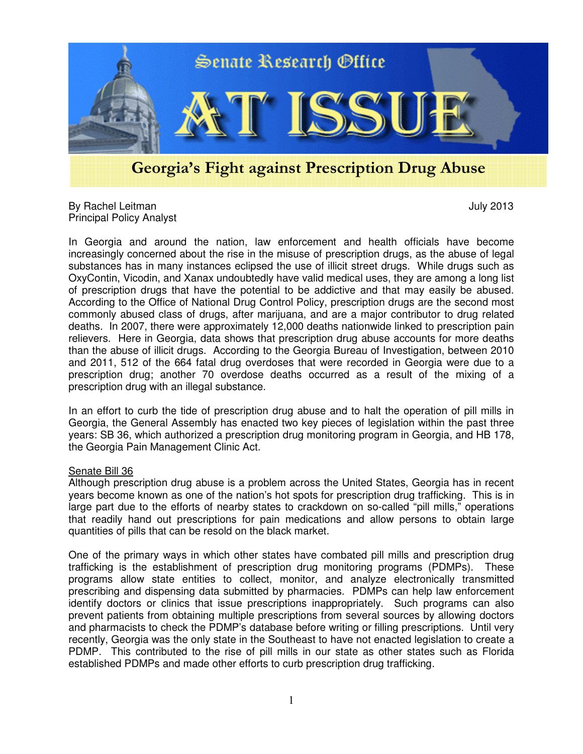

## Georgia's Fight against Prescription Drug Abuse

By Rachel Leitman July 2013 Principal Policy Analyst

In Georgia and around the nation, law enforcement and health officials have become increasingly concerned about the rise in the misuse of prescription drugs, as the abuse of legal substances has in many instances eclipsed the use of illicit street drugs. While drugs such as OxyContin, Vicodin, and Xanax undoubtedly have valid medical uses, they are among a long list of prescription drugs that have the potential to be addictive and that may easily be abused. According to the Office of National Drug Control Policy, prescription drugs are the second most commonly abused class of drugs, after marijuana, and are a major contributor to drug related deaths. In 2007, there were approximately 12,000 deaths nationwide linked to prescription pain relievers. Here in Georgia, data shows that prescription drug abuse accounts for more deaths than the abuse of illicit drugs. According to the Georgia Bureau of Investigation, between 2010 and 2011, 512 of the 664 fatal drug overdoses that were recorded in Georgia were due to a prescription drug; another 70 overdose deaths occurred as a result of the mixing of a prescription drug with an illegal substance.

In an effort to curb the tide of prescription drug abuse and to halt the operation of pill mills in Georgia, the General Assembly has enacted two key pieces of legislation within the past three years: SB 36, which authorized a prescription drug monitoring program in Georgia, and HB 178, the Georgia Pain Management Clinic Act.

## Senate Bill 36

Although prescription drug abuse is a problem across the United States, Georgia has in recent years become known as one of the nation's hot spots for prescription drug trafficking. This is in large part due to the efforts of nearby states to crackdown on so-called "pill mills," operations that readily hand out prescriptions for pain medications and allow persons to obtain large quantities of pills that can be resold on the black market.

One of the primary ways in which other states have combated pill mills and prescription drug trafficking is the establishment of prescription drug monitoring programs (PDMPs). These programs allow state entities to collect, monitor, and analyze electronically transmitted prescribing and dispensing data submitted by pharmacies. PDMPs can help law enforcement identify doctors or clinics that issue prescriptions inappropriately. Such programs can also prevent patients from obtaining multiple prescriptions from several sources by allowing doctors and pharmacists to check the PDMP's database before writing or filling prescriptions. Until very recently, Georgia was the only state in the Southeast to have not enacted legislation to create a PDMP. This contributed to the rise of pill mills in our state as other states such as Florida established PDMPs and made other efforts to curb prescription drug trafficking.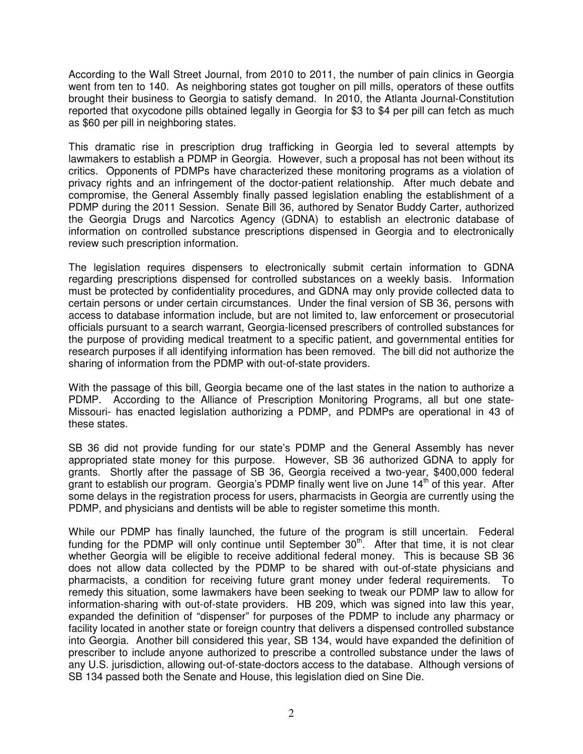According to the Wall Street Journal, from 2010 to 2011, the number of pain clinics in Georgia went from ten to 140. As neighboring states got tougher on pill mills, operators of these outfits brought their business to Georgia to satisfy demand. In 2010, the Atlanta Journal-Constitution reported that oxycodone pills obtained legally in Georgia for \$3 to \$4 per pill can fetch as much as \$60 per pill in neighboring states.

This dramatic rise in prescription drug trafficking in Georgia led to several attempts by lawmakers to establish a PDMP in Georgia. However, such a proposal has not been without its critics. Opponents of PDMPs have characterized these monitoring programs as a violation of privacy rights and an infringement of the doctor-patient relationship. After much debate and compromise, the General Assembly finally passed legislation enabling the establishment of a PDMP during the 2011 Session. Senate Bill 36, authored by Senator Buddy Carter, authorized the Georgia Drugs and Narcotics Agency (GDNA) to establish an electronic database of information on controlled substance prescriptions dispensed in Georgia and to electronically review such prescription information.

The legislation requires dispensers to electronically submit certain information to GDNA regarding prescriptions dispensed for controlled substances on a weekly basis. Information must be protected by confidentiality procedures, and GDNA may only provide collected data to certain persons or under certain circumstances. Under the final version of SB 36, persons with access to database information include, but are not limited to, law enforcement or prosecutorial officials pursuant to a search warrant, Georgia-licensed prescribers of controlled substances for the purpose of providing medical treatment to a specific patient, and governmental entities for research purposes if all identifying information has been removed. The bill did not authorize the sharing of information from the PDMP with out-of-state providers.

With the passage of this bill, Georgia became one of the last states in the nation to authorize a PDMP. According to the Alliance of Prescription Monitoring Programs, all but one state-Missouri- has enacted legislation authorizing a PDMP, and PDMPs are operational in 43 of these states.

SB 36 did not provide funding for our state's PDMP and the General Assembly has never appropriated state money for this purpose. However, SB 36 authorized GDNA to apply for grants. Shortly after the passage of SB 36, Georgia received a two-year, \$400,000 federal grant to establish our program. Georgia's PDMP finally went live on June  $14<sup>th</sup>$  of this year. After some delays in the registration process for users, pharmacists in Georgia are currently using the PDMP, and physicians and dentists will be able to register sometime this month.

While our PDMP has finally launched, the future of the program is still uncertain. Federal funding for the PDMP will only continue until September  $30<sup>th</sup>$ . After that time, it is not clear whether Georgia will be eligible to receive additional federal money. This is because SB 36 does not allow data collected by the PDMP to be shared with out-of-state physicians and pharmacists, a condition for receiving future grant money under federal requirements. To remedy this situation, some lawmakers have been seeking to tweak our PDMP law to allow for information-sharing with out-of-state providers. HB 209, which was signed into law this year, expanded the definition of "dispenser" for purposes of the PDMP to include any pharmacy or facility located in another state or foreign country that delivers a dispensed controlled substance into Georgia. Another bill considered this year, SB 134, would have expanded the definition of prescriber to include anyone authorized to prescribe a controlled substance under the laws of any U.S. jurisdiction, allowing out-of-state-doctors access to the database. Although versions of SB 134 passed both the Senate and House, this legislation died on Sine Die.